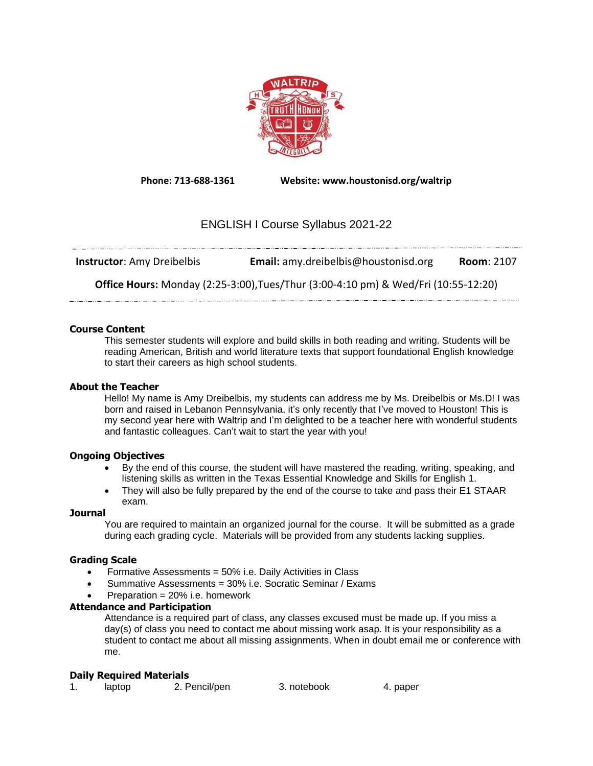

**Phone: 713-688-1361 Website: www.houstonisd.org/waltrip**

# ENGLISH I Course Syllabus 2021-22

| <b>Instructor:</b> Amy Dreibelbis                                                         | <b>Email:</b> amy.dreibelbis@houstonisd.org | <b>Room: 2107</b> |  |  |
|-------------------------------------------------------------------------------------------|---------------------------------------------|-------------------|--|--|
| <b>Office Hours:</b> Monday (2:25-3:00), Tues/Thur (3:00-4:10 pm) & Wed/Fri (10:55-12:20) |                                             |                   |  |  |

# **Course Content**

This semester students will explore and build skills in both reading and writing. Students will be reading American, British and world literature texts that support foundational English knowledge to start their careers as high school students.

# **About the Teacher**

Hello! My name is Amy Dreibelbis, my students can address me by Ms. Dreibelbis or Ms.D! I was born and raised in Lebanon Pennsylvania, it's only recently that I've moved to Houston! This is my second year here with Waltrip and I'm delighted to be a teacher here with wonderful students and fantastic colleagues. Can't wait to start the year with you!

# **Ongoing Objectives**

- By the end of this course, the student will have mastered the reading, writing, speaking, and listening skills as written in the Texas Essential Knowledge and Skills for English 1.
- They will also be fully prepared by the end of the course to take and pass their E1 STAAR exam.

# **Journal**

You are required to maintain an organized journal for the course. It will be submitted as a grade during each grading cycle. Materials will be provided from any students lacking supplies.

# **Grading Scale**

- Formative Assessments = 50% i.e. Daily Activities in Class
- Summative Assessments = 30% i.e. Socratic Seminar / Exams
- Preparation =  $20\%$  i.e. homework

### **Attendance and Participation**

Attendance is a required part of class, any classes excused must be made up. If you miss a day(s) of class you need to contact me about missing work asap. It is your responsibility as a student to contact me about all missing assignments. When in doubt email me or conference with me.

# **Daily Required Materials**

|  | laptop | 2. Pencil/pen | 3. notebook | 4. paper |
|--|--------|---------------|-------------|----------|